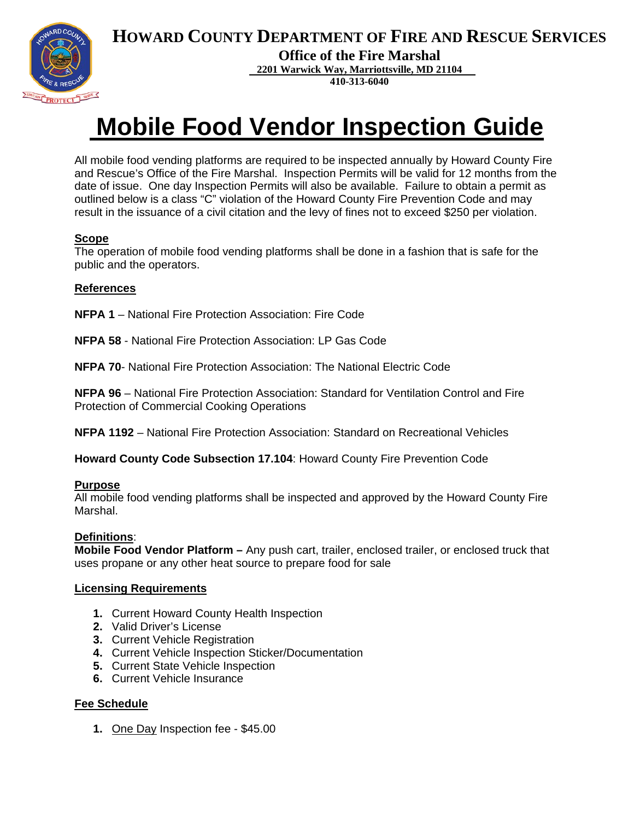



**Office of the Fire Marshal**

**2201 Warwick Way, Marriottsville, MD 21104**

**410-313-6040**

# **Mobile Food Vendor Inspection Guide**

All mobile food vending platforms are required to be inspected annually by Howard County Fire and Rescue's Office of the Fire Marshal. Inspection Permits will be valid for 12 months from the date of issue. One day Inspection Permits will also be available. Failure to obtain a permit as outlined below is a class "C" violation of the Howard County Fire Prevention Code and may result in the issuance of a civil citation and the levy of fines not to exceed \$250 per violation.

#### **Scope**

The operation of mobile food vending platforms shall be done in a fashion that is safe for the public and the operators.

#### **References**

**NFPA 1** – National Fire Protection Association: Fire Code

- **NFPA 58** National Fire Protection Association: LP Gas Code
- **NFPA 70** National Fire Protection Association: The National Electric Code

**NFPA 96** – National Fire Protection Association: Standard for Ventilation Control and Fire Protection of Commercial Cooking Operations

**NFPA 1192** – National Fire Protection Association: Standard on Recreational Vehicles

**Howard County Code Subsection 17.104**: Howard County Fire Prevention Code

#### **Purpose**

All mobile food vending platforms shall be inspected and approved by the Howard County Fire Marshal.

#### **Definitions**:

**Mobile Food Vendor Platform –** Any push cart, trailer, enclosed trailer, or enclosed truck that uses propane or any other heat source to prepare food for sale

#### **Licensing Requirements**

- **1.** Current Howard County Health Inspection
- **2.** Valid Driver's License
- **3.** Current Vehicle Registration
- **4.** Current Vehicle Inspection Sticker/Documentation
- **5.** Current State Vehicle Inspection
- **6.** Current Vehicle Insurance

#### **Fee Schedule**

**1.** One Day Inspection fee - \$45.00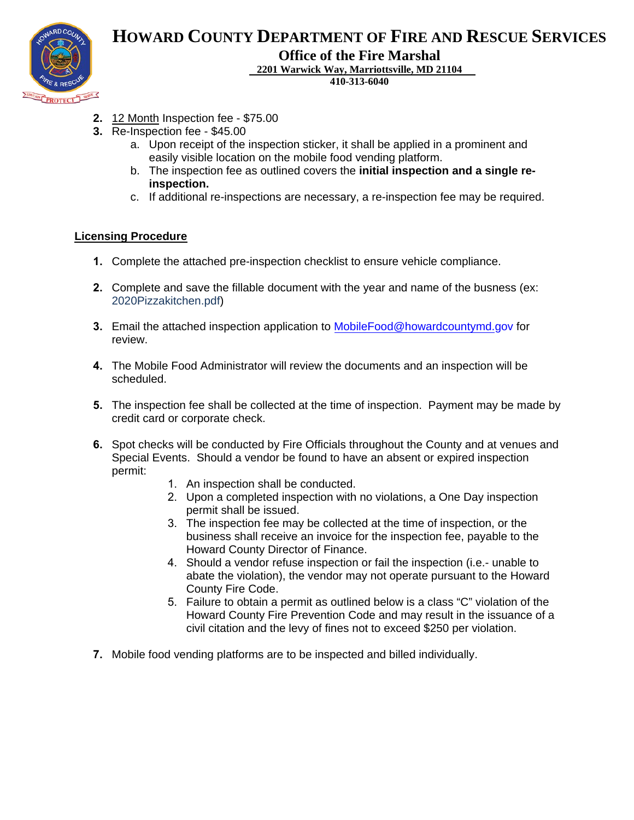

# **HOWARD COUNTY DEPARTMENT OF FIRE AND RESCUE SERVICES**

**Office of the Fire Marshal**

**2201 Warwick Way, Marriottsville, MD 21104**

**410-313-6040**

- **2.** 12 Month Inspection fee \$75.00
- **3.** Re-Inspection fee \$45.00
	- a. Upon receipt of the inspection sticker, it shall be applied in a prominent and easily visible location on the mobile food vending platform.
	- b. The inspection fee as outlined covers the **initial inspection and a single reinspection.**
	- c. If additional re-inspections are necessary, a re-inspection fee may be required.

#### **Licensing Procedure**

- **1.** Complete the attached pre-inspection checklist to ensure vehicle compliance.
- **2.** Complete and save the fillable document with the year and name of the busness (ex: 2020Pizzakitchen.pdf)
- **3.** Email the attached inspection application to [MobileFood@howardcountymd.gov](mailto:MobileFood@howardcountymd.gov) for review.
- **4.** The Mobile Food Administrator will review the documents and an inspection will be scheduled.
- **5.** The inspection fee shall be collected at the time of inspection. Payment may be made by credit card or corporate check.
- **6.** Spot checks will be conducted by Fire Officials throughout the County and at venues and Special Events. Should a vendor be found to have an absent or expired inspection permit:
	- 1. An inspection shall be conducted.
	- 2. Upon a completed inspection with no violations, a One Day inspection permit shall be issued.
	- 3. The inspection fee may be collected at the time of inspection, or the business shall receive an invoice for the inspection fee, payable to the Howard County Director of Finance.
	- 4. Should a vendor refuse inspection or fail the inspection (i.e.- unable to abate the violation), the vendor may not operate pursuant to the Howard County Fire Code.
	- 5. Failure to obtain a permit as outlined below is a class "C" violation of the Howard County Fire Prevention Code and may result in the issuance of a civil citation and the levy of fines not to exceed \$250 per violation.
- **7.** Mobile food vending platforms are to be inspected and billed individually.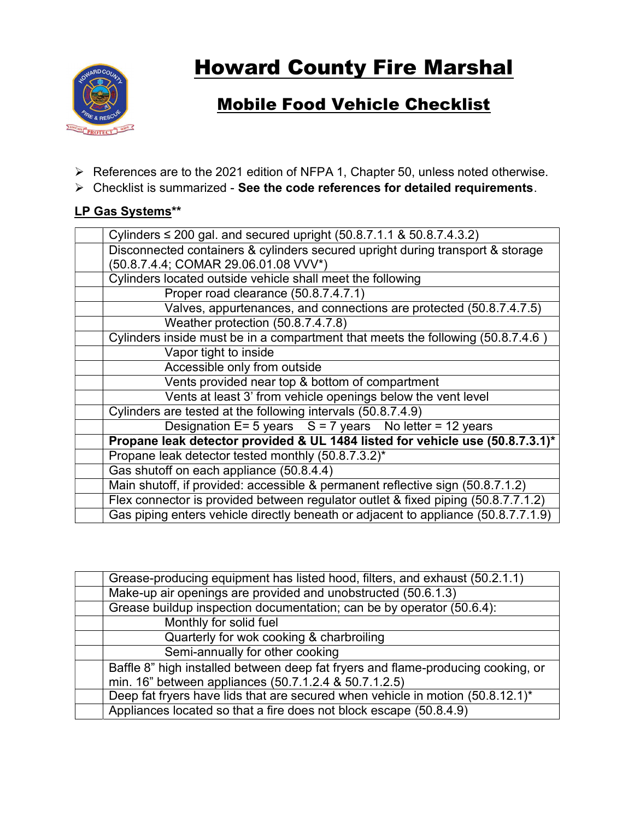

# **Howard County Fire Marshal**

# Mobile Food Vehicle Checklist

- References are to the 2021 edition of NFPA 1, Chapter 50, unless noted otherwise.
- $\triangleright$  Checklist is summarized See the code references for detailed requirements.

## LP Gas Systems\*\*

| Cylinders $\leq$ 200 gal. and secured upright (50.8.7.1.1 & 50.8.7.4.3.2)         |
|-----------------------------------------------------------------------------------|
| Disconnected containers & cylinders secured upright during transport & storage    |
| (50.8.7.4.4; COMAR 29.06.01.08 VVV*)                                              |
| Cylinders located outside vehicle shall meet the following                        |
| Proper road clearance (50.8.7.4.7.1)                                              |
| Valves, appurtenances, and connections are protected (50.8.7.4.7.5)               |
| Weather protection (50.8.7.4.7.8)                                                 |
| Cylinders inside must be in a compartment that meets the following (50.8.7.4.6)   |
| Vapor tight to inside                                                             |
| Accessible only from outside                                                      |
| Vents provided near top & bottom of compartment                                   |
| Vents at least 3' from vehicle openings below the vent level                      |
|                                                                                   |
| Cylinders are tested at the following intervals (50.8.7.4.9)                      |
| Designation $E = 5$ years $S = 7$ years No letter = 12 years                      |
| Propane leak detector provided & UL 1484 listed for vehicle use (50.8.7.3.1)*     |
| Propane leak detector tested monthly (50.8.7.3.2)*                                |
| Gas shutoff on each appliance (50.8.4.4)                                          |
| Main shutoff, if provided: accessible & permanent reflective sign (50.8.7.1.2)    |
| Flex connector is provided between regulator outlet & fixed piping (50.8.7.7.1.2) |

| Grease-producing equipment has listed hood, filters, and exhaust (50.2.1.1)      |
|----------------------------------------------------------------------------------|
| Make-up air openings are provided and unobstructed (50.6.1.3)                    |
| Grease buildup inspection documentation; can be by operator (50.6.4):            |
| Monthly for solid fuel                                                           |
| Quarterly for wok cooking & charbroiling                                         |
| Semi-annually for other cooking                                                  |
| Baffle 8" high installed between deep fat fryers and flame-producing cooking, or |
| min. 16" between appliances (50.7.1.2.4 & 50.7.1.2.5)                            |
| Deep fat fryers have lids that are secured when vehicle in motion (50.8.12.1)*   |
| Appliances located so that a fire does not block escape (50.8.4.9)               |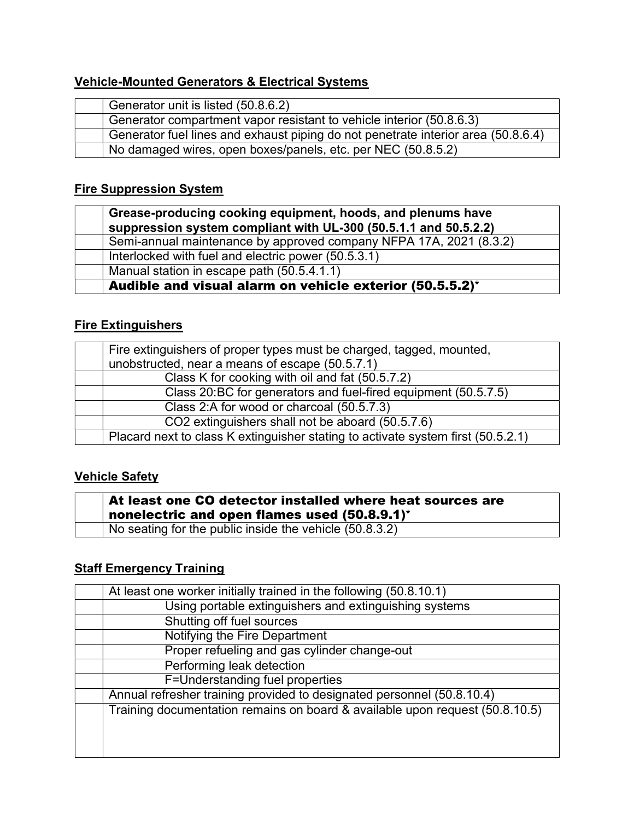# Vehicle-Mounted Generators & Electrical Systems

| Generator unit is listed (50.8.6.2)                                               |
|-----------------------------------------------------------------------------------|
| Generator compartment vapor resistant to vehicle interior (50.8.6.3)              |
| Generator fuel lines and exhaust piping do not penetrate interior area (50.8.6.4) |
| No damaged wires, open boxes/panels, etc. per NEC (50.8.5.2)                      |

### Fire Suppression System

| Grease-producing cooking equipment, hoods, and plenums have<br>suppression system compliant with UL-300 (50.5.1.1 and 50.5.2.2) |
|---------------------------------------------------------------------------------------------------------------------------------|
| Semi-annual maintenance by approved company NFPA 17A, 2021 (8.3.2)                                                              |
| Interlocked with fuel and electric power (50.5.3.1)                                                                             |
| Manual station in escape path (50.5.4.1.1)                                                                                      |
| Audible and visual alarm on vehicle exterior (50.5.5.2)*                                                                        |

## **Fire Extinguishers**

| Fire extinguishers of proper types must be charged, tagged, mounted,             |
|----------------------------------------------------------------------------------|
| unobstructed, near a means of escape (50.5.7.1)                                  |
| Class K for cooking with oil and fat (50.5.7.2)                                  |
| Class 20:BC for generators and fuel-fired equipment (50.5.7.5)                   |
| Class 2:A for wood or charcoal (50.5.7.3)                                        |
| CO2 extinguishers shall not be aboard (50.5.7.6)                                 |
| Placard next to class K extinguisher stating to activate system first (50.5.2.1) |

### Vehicle Safety

| $\overline{\phantom{a}}$ At least one CO detector installed where heat sources are<br>nonelectric and open flames used $(50.8.9.1)^*$ |
|---------------------------------------------------------------------------------------------------------------------------------------|
| No seating for the public inside the vehicle (50.8.3.2)                                                                               |

# **Staff Emergency Training**

| At least one worker initially trained in the following (50.8.10.1)           |
|------------------------------------------------------------------------------|
| Using portable extinguishers and extinguishing systems                       |
| Shutting off fuel sources                                                    |
| Notifying the Fire Department                                                |
| Proper refueling and gas cylinder change-out                                 |
| Performing leak detection                                                    |
| F=Understanding fuel properties                                              |
| Annual refresher training provided to designated personnel (50.8.10.4)       |
| Training documentation remains on board & available upon request (50.8.10.5) |
|                                                                              |
|                                                                              |
|                                                                              |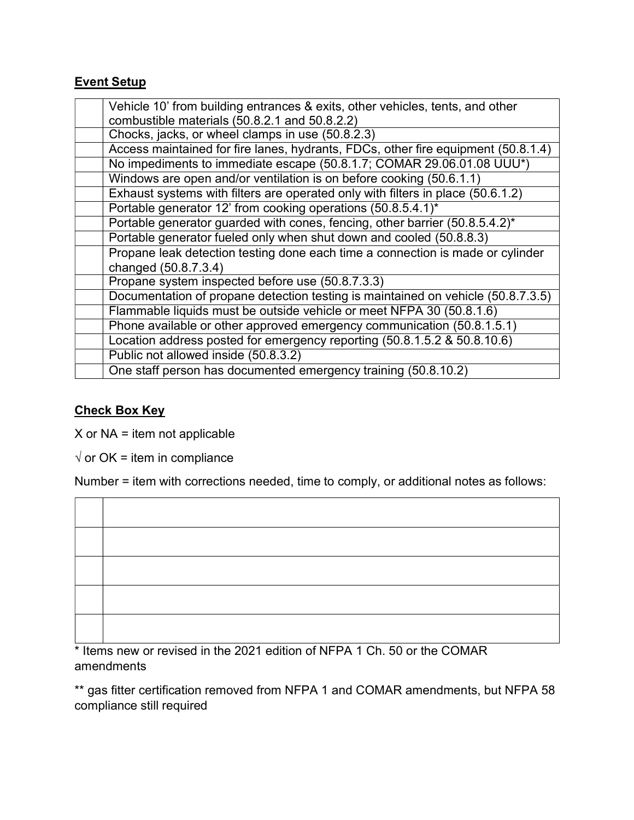## Event Setup

| Vehicle 10' from building entrances & exits, other vehicles, tents, and other     |
|-----------------------------------------------------------------------------------|
| combustible materials (50.8.2.1 and 50.8.2.2)                                     |
| Chocks, jacks, or wheel clamps in use (50.8.2.3)                                  |
| Access maintained for fire lanes, hydrants, FDCs, other fire equipment (50.8.1.4) |
| No impediments to immediate escape (50.8.1.7; COMAR 29.06.01.08 UUU*)             |
| Windows are open and/or ventilation is on before cooking (50.6.1.1)               |
| Exhaust systems with filters are operated only with filters in place (50.6.1.2)   |
| Portable generator 12' from cooking operations (50.8.5.4.1)*                      |
| Portable generator guarded with cones, fencing, other barrier (50.8.5.4.2)*       |
| Portable generator fueled only when shut down and cooled (50.8.8.3)               |
| Propane leak detection testing done each time a connection is made or cylinder    |
| changed (50.8.7.3.4)                                                              |
| Propane system inspected before use (50.8.7.3.3)                                  |
| Documentation of propane detection testing is maintained on vehicle (50.8.7.3.5)  |
| Flammable liquids must be outside vehicle or meet NFPA 30 (50.8.1.6)              |
| Phone available or other approved emergency communication (50.8.1.5.1)            |
| Location address posted for emergency reporting (50.8.1.5.2 & 50.8.10.6)          |
| Public not allowed inside (50.8.3.2)                                              |
| One staff person has documented emergency training (50.8.10.2)                    |

#### Check Box Key

 $X$  or NA = item not applicable

 $\sqrt{ }$  or OK = item in compliance

Number = item with corrections needed, time to comply, or additional notes as follows:

\* Items new or revised in the 2021 edition of NFPA 1 Ch. 50 or the COMAR amendments

\*\* gas fitter certification removed from NFPA 1 and COMAR amendments, but NFPA 58 compliance still required